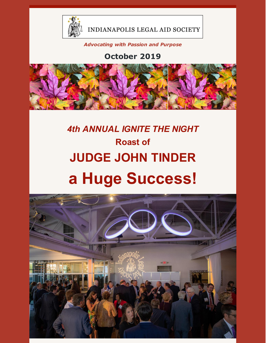

INDIANAPOLIS LEGAL AID SOCIETY

*Advocating with Passion and Purpose*

#### **October 2019**



# *4th ANNUAL IGNITE THE NIGHT* **Roast of JUDGE JOHN TINDER a Huge Success!**

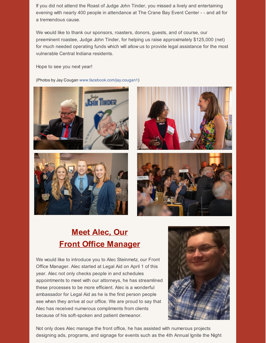If you did not attend the Roast of Judge John Tinder, you missed a lively and entertaining evening with nearly 400 people in attendance at The Crane Bay Event Center - - and all for a tremendous cause.

We would like to thank our sponsors, roasters, donors, guests, and of course, our preeminent roastee, Judge John Tinder, for helping us raise approximately \$125,000 (net) for much needed operating funds which will allow us to provide legal assistance for the most vulnerable Central Indiana residents.

Hope to see you next year!

(Photos by Jay Cougan [www.facebook.com/jay.cougan1](https://www.facebook.com/jay.cougan1?__tn__=K-R&eid=ARC7JtRccz_ZGK8E1Xnwsvws8oqL0eLrfk9THXrcsGITz9gxjyaQaOLm1mqZyYjD6iWx_6H1OzXYj3g4&fref=mentions&__xts__%5B0%5D=68.ARDJhBDYvhx1evqR_oO95V3jONh04QL3PB6BunDIIpBmSS_IANw69rXe0ZZhf_K-zRfq7Bx_umxMRPiFB4v0rPU6asXw8nGisSVcsuzPIkSE8dEyxJNlwEec2hg177oMiQbSJ5lvVpTLRNixJzzSsqZK8KmED9LnijIwsFKfssl_ldHIlij7rVmrDzoEuOk3BnL_kPyPpCsmq9jpqyzrT25-Ouq7NbvYMweg4TZWX64hz3whwm9Ovh7D451JDLu2RfVk-eLUa8H5J9CvYFdE4IhGRPCOrme6wOadyBbUTBitBpn3y6azv2ce1mZdXDfa3b3Ip_UnJoLWXJBJyvTCEe-kXRe-))









## **Meet Alec, Our Front Office Manager**

We would like to introduce you to Alec Steinmetz, our Front Office Manager. Alec started at Legal Aid on April 1 of this year. Alec not only checks people in and schedules appointments to meet with our attorneys, he has streamlined these processes to be more efficient. Alec is a wonderful ambassador for Legal Aid as he is the first person people see when they arrive at our office. We are proud to say that Alec has received numerous compliments from clients because of his soft-spoken and patient demeanor.



Not only does Alec manage the front office, he has assisted with numerous projects designing ads, programs, and signage for events such as the 4th Annual Ignite the Night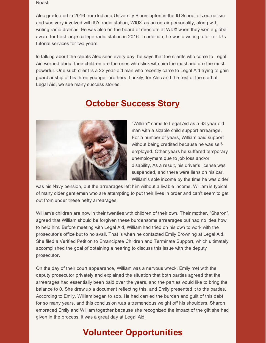Roast.

Alec graduated in 2016 from Indiana University Bloomington in the IU School of Journalism and was very involved with IU's radio station, WIUX, as an on-air personality, along with writing radio dramas. He was also on the board of directors at WIUX when they won a global award for best large college radio station in 2016. In addition, he was a writing tutor for IU's tutorial services for two years.

In talking about the clients Alec sees every day, he says that the clients who come to Legal Aid worried about their children are the ones who stick with him the most and are the most powerful. One such client is a 22 year-old man who recently came to Legal Aid trying to gain guardianship of his three younger brothers. Luckily, for Alec and the rest of the staff at Legal Aid, we see many success stories.

#### **October Success Story**



"William" came to Legal Aid as a 63 year old man with a sizable child support arrearage. For a number of years, William paid support without being credited because he was selfemployed. Other years he suffered temporary unemployment due to job loss and/or disability. As a result, his driver's license was suspended, and there were liens on his car. William's sole income by the time he was older

was his Navy pension, but the arrearages left him without a livable income. William is typical of many older gentlemen who are attempting to put their lives in order and can't seem to get out from under these hefty arrearages.

William's children are now in their twenties with children of their own. Their mother, "Sharon", agreed that William should be forgiven these burdensome arrearages but had no idea how to help him. Before meeting with Legal Aid, William had tried on his own to work with the prosecutor's office but to no avail. That is when he contacted Emily Browning at Legal Aid. She filed a Verified Petition to Emancipate Children and Terminate Support, which ultimately accomplished the goal of obtaining a hearing to discuss this issue with the deputy prosecutor.

On the day of their court appearance, William was a nervous wreck. Emily met with the deputy prosecutor privately and explained the situation that both parties agreed that the arrearages had essentially been paid over the years, and the parties would like to bring the balance to 0. She drew up a document reflecting this, and Emily presented it to the parties. According to Emily, William began to sob. He had carried the burden and guilt of this debt for so many years, and this conclusion was a tremendous weight off his shoulders. Sharon embraced Emily and William together because she recognized the impact of the gift she had given in the process. It was a great day at Legal Aid!

## **Volunteer Opportunities**